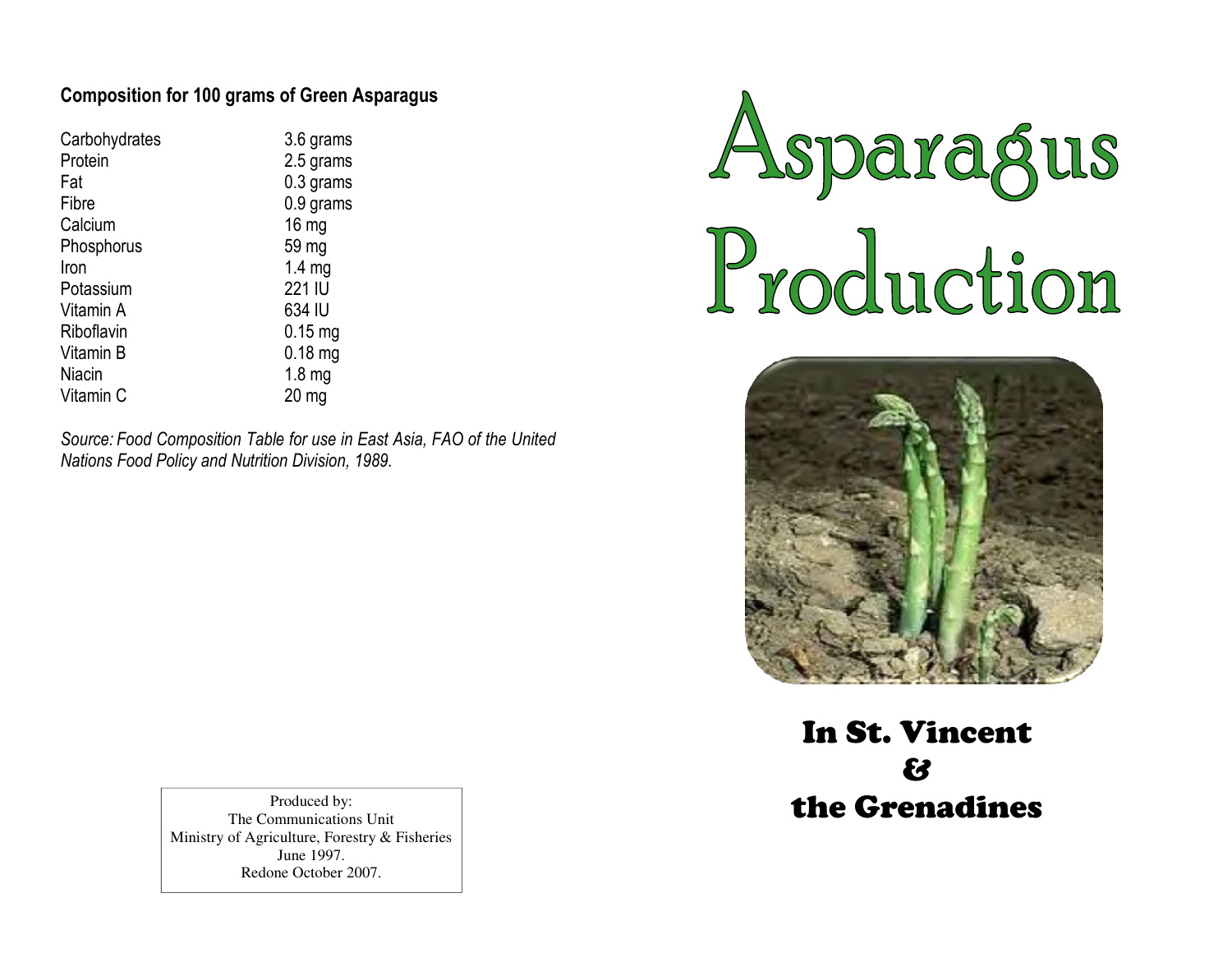## Composition for 100 grams of Green Asparagus

| 3.6 grams         |
|-------------------|
| 2.5 grams         |
| $0.3$ grams       |
| 0.9 grams         |
| 16 mg             |
| 59 mg             |
| 1.4 <sub>mg</sub> |
| 221 IU            |
| 634 IU            |
| $0.15$ mg         |
| $0.18$ mg         |
| 1.8 <sub>mg</sub> |
| $20 \, mg$        |
|                   |

Source: Food Composition Table for use in East Asia, FAO of the United Nations Food Policy and Nutrition Division, 1989.





In St. Vincent & the Grenadines

Produced by: The Communications Unit Ministry of Agriculture, Forestry & Fisheries June 1997. Redone October 2007.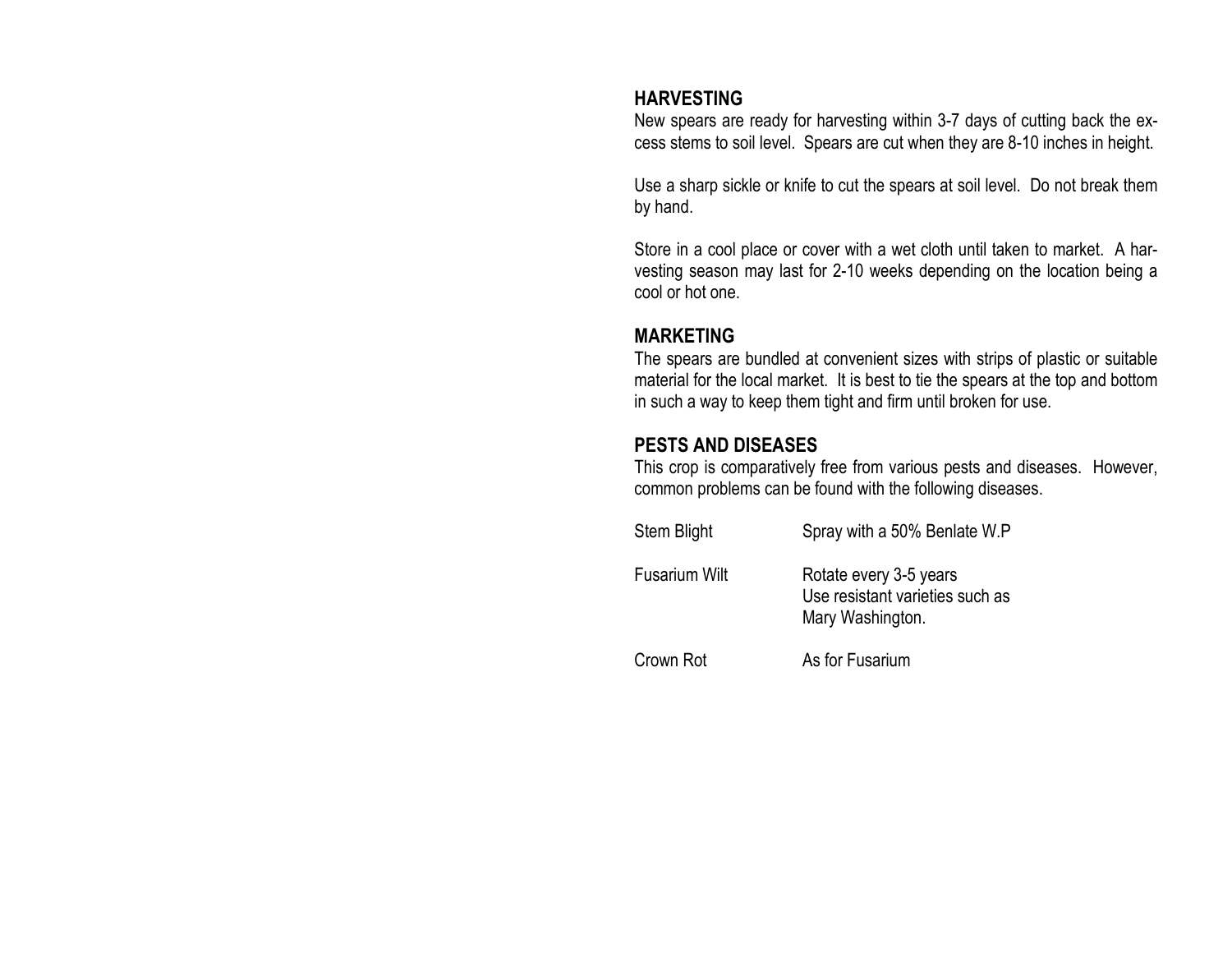#### HARVESTING

 New spears are ready for harvesting within 3-7 days of cutting back the excess stems to soil level. Spears are cut when they are 8-10 inches in height.

Use a sharp sickle or knife to cut the spears at soil level. Do not break them by hand.

Store in a cool place or cover with a wet cloth until taken to market. A harvesting season may last for 2-10 weeks depending on the location being a cool or hot one.

### MARKETING

 The spears are bundled at convenient sizes with strips of plastic or suitable material for the local market. It is best to tie the spears at the top and bottom in such a way to keep them tight and firm until broken for use.

## PESTS AND DISEASES

 This crop is comparatively free from various pests and diseases. However, common problems can be found with the following diseases.

| Spray with a 50% Benlate W.P                                                  |
|-------------------------------------------------------------------------------|
| Rotate every 3-5 years<br>Use resistant varieties such as<br>Mary Washington. |
| As for Fusarium                                                               |
|                                                                               |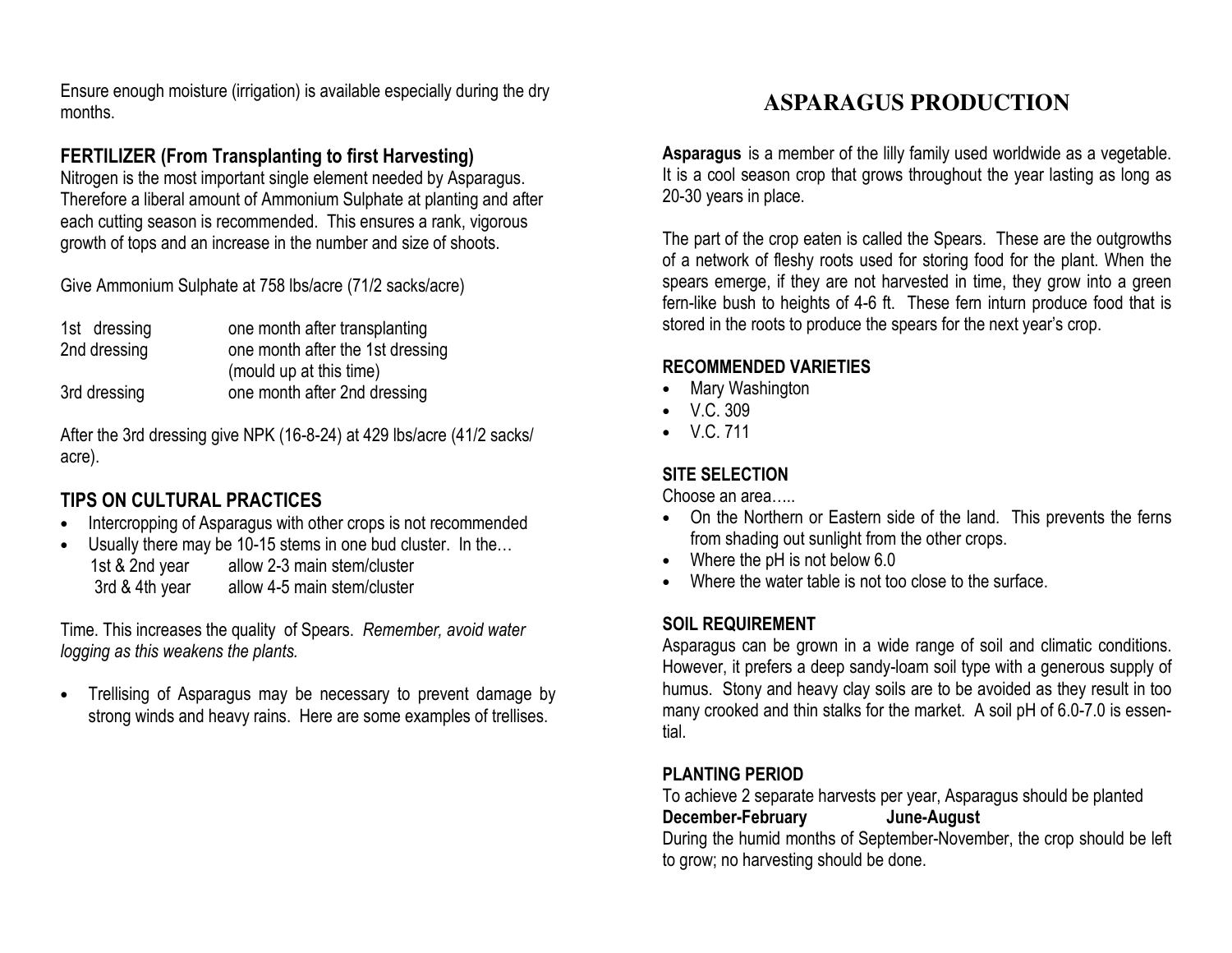Ensure enough moisture (irrigation) is available especially during the dry months.

### FERTILIZER (From Transplanting to first Harvesting)

 Nitrogen is the most important single element needed by Asparagus. Therefore a liberal amount of Ammonium Sulphate at planting and after each cutting season is recommended. This ensures a rank, vigorous growth of tops and an increase in the number and size of shoots.

Give Ammonium Sulphate at 758 lbs/acre (71/2 sacks/acre)

| 1st dressing | one month after transplanting    |
|--------------|----------------------------------|
| 2nd dressing | one month after the 1st dressing |
|              | (mould up at this time)          |
| 3rd dressing | one month after 2nd dressing     |

After the 3rd dressing give NPK (16-8-24) at 429 lbs/acre (41/2 sacks/acre).

# TIPS ON CULTURAL PRACTICES

- Intercropping of Asparagus with other crops is not recommended
- Usually there may be 10-15 stems in one bud cluster. In the… 1st & 2nd year allow 2-3 main stem/cluster 3rd & 4th year allow 4-5 main stem/cluster

Time. This increases the quality of Spears. Remember, avoid water logging as this weakens the plants.

• Trellising of Asparagus may be necessary to prevent damage by strong winds and heavy rains. Here are some examples of trellises.

# **ASPARAGUS PRODUCTION**

Asparagus is a member of the lilly family used worldwide as a vegetable. It is a cool season crop that grows throughout the year lasting as long as 20-30 years in place.

The part of the crop eaten is called the Spears. These are the outgrowths of a network of fleshy roots used for storing food for the plant. When the spears emerge, if they are not harvested in time, they grow into a green fern-like bush to heights of 4-6 ft. These fern inturn produce food that is stored in the roots to produce the spears for the next year's crop.

### RECOMMENDED VARIETIES

- Mary Washington
- V.C. 309
- $\bullet$  V.C. 711

## SITE SELECTION

Choose an area…..

- On the Northern or Eastern side of the land. This prevents the ferns from shading out sunlight from the other crops.
- Where the pH is not below 6.0
- Where the water table is not too close to the surface.

# SOIL REQUIREMENT

 Asparagus can be grown in a wide range of soil and climatic conditions. However, it prefers a deep sandy-loam soil type with a generous supply of humus. Stony and heavy clay soils are to be avoided as they result in too many crooked and thin stalks for the market. A soil pH of 6.0-7.0 is essential.

## PLANTING PERIOD

To achieve 2 separate harvests per year, Asparagus should be planted December-February June-August

 During the humid months of September-November, the crop should be left to grow; no harvesting should be done.